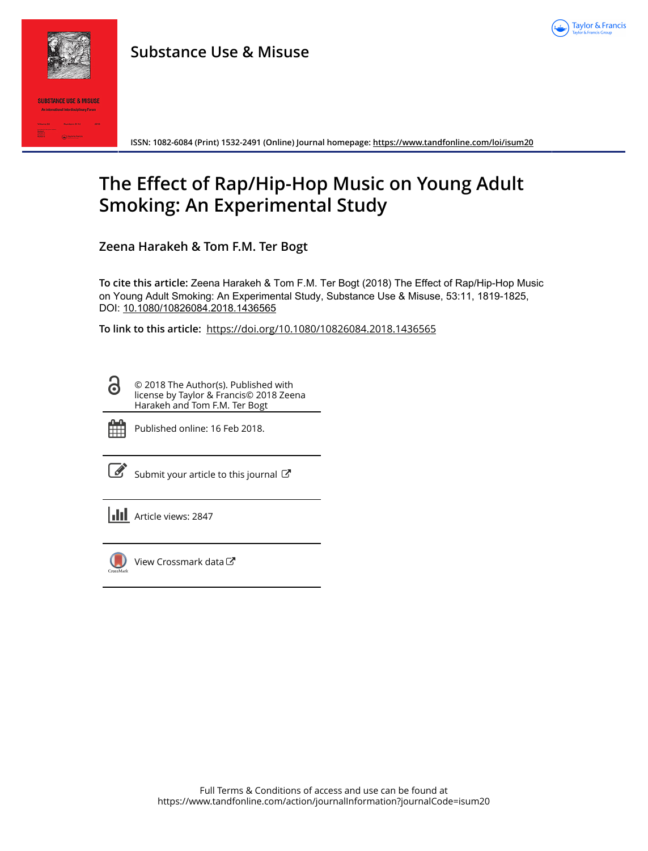

# **Substance Use & Misuse**



**ISSN: 1082-6084 (Print) 1532-2491 (Online) Journal homepage:<https://www.tandfonline.com/loi/isum20>**

# **The Effect of Rap/Hip-Hop Music on Young Adult Smoking: An Experimental Study**

**Zeena Harakeh & Tom F.M. Ter Bogt**

**To cite this article:** Zeena Harakeh & Tom F.M. Ter Bogt (2018) The Effect of Rap/Hip-Hop Music on Young Adult Smoking: An Experimental Study, Substance Use & Misuse, 53:11, 1819-1825, DOI: [10.1080/10826084.2018.1436565](https://www.tandfonline.com/action/showCitFormats?doi=10.1080/10826084.2018.1436565)

**To link to this article:** <https://doi.org/10.1080/10826084.2018.1436565>

© 2018 The Author(s). Published with license by Taylor & Francis© 2018 Zeena Harakeh and Tom F.M. Ter Bogt



 $\mathbf{a}$ 

Published online: 16 Feb 2018.

[Submit your article to this journal](https://www.tandfonline.com/action/authorSubmission?journalCode=isum20&show=instructions)  $\mathbb{Z}$ 

**Article views: 2847** 



[View Crossmark data](http://crossmark.crossref.org/dialog/?doi=10.1080/10826084.2018.1436565&domain=pdf&date_stamp=2018-02-16)  $\sigma$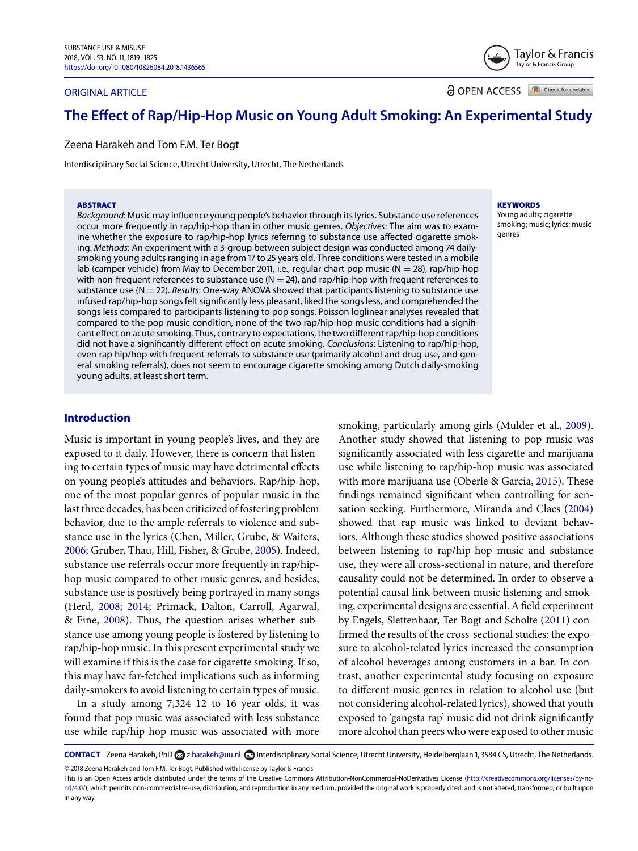#### ORIGINAL ARTICLE

**a** OPEN ACCESS **a** Check for updates

Taylor & Francis Taylor & Francis Group

# **The Effect of Rap/Hip-Hop Music on Young Adult Smoking: An Experimental Study**

Zeena Harakeh and Tom F.M. Ter Bogt

Interdisciplinary Social Science, Utrecht University, Utrecht, The Netherlands

#### **ABSTRACT**

Background: Music may influence young people's behavior through its lyrics. Substance use references occur more frequently in rap/hip-hop than in other music genres. Objectives: The aim was to examine whether the exposure to rap/hip-hop lyrics referring to substance use affected cigarette smoking. Methods: An experiment with a 3-group between subject design was conducted among 74 dailysmoking young adults ranging in age from 17 to 25 years old. Three conditions were tested in a mobile lab (camper vehicle) from May to December 2011, i.e., regular chart pop music ( $N = 28$ ), rap/hip-hop with non-frequent references to substance use  $(N = 24)$ , and rap/hip-hop with frequent references to substance use ( $N = 22$ ). Results: One-way ANOVA showed that participants listening to substance use infused rap/hip-hop songs felt significantly less pleasant, liked the songs less, and comprehended the songs less compared to participants listening to pop songs. Poisson loglinear analyses revealed that compared to the pop music condition, none of the two rap/hip-hop music conditions had a significant effect on acute smoking. Thus, contrary to expectations, the two different rap/hip-hop conditions did not have a significantly different effect on acute smoking. Conclusions: Listening to rap/hip-hop, even rap hip/hop with frequent referrals to substance use (primarily alcohol and drug use, and general smoking referrals), does not seem to encourage cigarette smoking among Dutch daily-smoking young adults, at least short term.

#### **KEYWORDS**

Young adults; cigarette smoking; music; lyrics; music genres

# **Introduction**

Music is important in young people's lives, and they are exposed to it daily. However, there is concern that listening to certain types of music may have detrimental effects on young people's attitudes and behaviors. Rap/hip-hop, one of the most popular genres of popular music in the last three decades, has been criticized of fostering problem behavior, due to the ample referrals to violence and substance use in the lyrics (Chen, Miller, Grube, & Waiters, [2006;](#page-6-0) Gruber, Thau, Hill, Fisher, & Grube, [2005\)](#page-6-1). Indeed, substance use referrals occur more frequently in rap/hiphop music compared to other music genres, and besides, substance use is positively being portrayed in many songs (Herd, [2008;](#page-6-2) [2014;](#page-6-3) Primack, Dalton, Carroll, Agarwal, & Fine, [2008\)](#page-7-0). Thus, the question arises whether substance use among young people is fostered by listening to rap/hip-hop music. In this present experimental study we will examine if this is the case for cigarette smoking. If so, this may have far-fetched implications such as informing daily-smokers to avoid listening to certain types of music.

In a study among 7,324 12 to 16 year olds, it was found that pop music was associated with less substance use while rap/hip-hop music was associated with more

smoking, particularly among girls (Mulder et al., [2009\)](#page-6-4). Another study showed that listening to pop music was significantly associated with less cigarette and marijuana use while listening to rap/hip-hop music was associated with more marijuana use (Oberle & Garcia, [2015\)](#page-7-1). These findings remained significant when controlling for sensation seeking. Furthermore, Miranda and Claes [\(2004\)](#page-6-5) showed that rap music was linked to deviant behaviors. Although these studies showed positive associations between listening to rap/hip-hop music and substance use, they were all cross-sectional in nature, and therefore causality could not be determined. In order to observe a potential causal link between music listening and smoking, experimental designs are essential. A field experiment by Engels, Slettenhaar, Ter Bogt and Scholte [\(2011\)](#page-6-6) confirmed the results of the cross-sectional studies: the exposure to alcohol-related lyrics increased the consumption of alcohol beverages among customers in a bar. In contrast, another experimental study focusing on exposure to different music genres in relation to alcohol use (but not considering alcohol-related lyrics), showed that youth exposed to 'gangsta rap' music did not drink significantly more alcohol than peers who were exposed to other music

CONTACT Zeena Harakeh, PhD 2 [z.harakeh@uu.nl](mailto:z.harakeh@uu.nl) **■** Interdisciplinary Social Science, Utrecht University, Heidelberglaan 1, 3584 CS, Utrecht, The Netherlands. © Zeena Harakeh and Tom F.M. Ter Bogt. Published with license by Taylor & Francis

This is an Open Access article distributed under the terms of the Creative Commons Attribution-NonCommercial-NoDerivatives License (http://creativecommons.org/licenses/by-ncnd/4.0/), which permits non-commercial re-use, distribution, and reproduction in any medium, provided the original work is properly cited, and is not altered, transformed, or built upon in any way.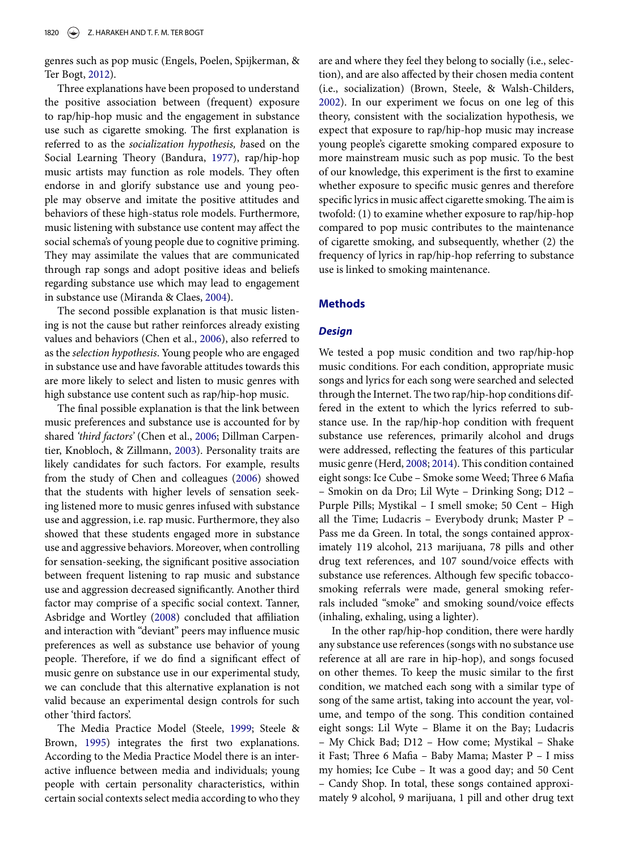genres such as pop music (Engels, Poelen, Spijkerman, & Ter Bogt, [2012\)](#page-6-7).

Three explanations have been proposed to understand the positive association between (frequent) exposure to rap/hip-hop music and the engagement in substance use such as cigarette smoking. The first explanation is referred to as the *socialization hypothesis, b*ased on the Social Learning Theory (Bandura, [1977\)](#page-6-8), rap/hip-hop music artists may function as role models. They often endorse in and glorify substance use and young people may observe and imitate the positive attitudes and behaviors of these high-status role models. Furthermore, music listening with substance use content may affect the social schema's of young people due to cognitive priming. They may assimilate the values that are communicated through rap songs and adopt positive ideas and beliefs regarding substance use which may lead to engagement in substance use (Miranda & Claes, [2004\)](#page-6-5).

The second possible explanation is that music listening is not the cause but rather reinforces already existing values and behaviors (Chen et al., [2006\)](#page-6-0), also referred to as the *selection hypothesis*. Young people who are engaged in substance use and have favorable attitudes towards this are more likely to select and listen to music genres with high substance use content such as rap/hip-hop music.

The final possible explanation is that the link between music preferences and substance use is accounted for by shared *'third factors'* (Chen et al., [2006;](#page-6-0) Dillman Carpentier, Knobloch, & Zillmann, [2003\)](#page-6-9). Personality traits are likely candidates for such factors. For example, results from the study of Chen and colleagues [\(2006\)](#page-6-0) showed that the students with higher levels of sensation seeking listened more to music genres infused with substance use and aggression, i.e. rap music. Furthermore, they also showed that these students engaged more in substance use and aggressive behaviors. Moreover, when controlling for sensation-seeking, the significant positive association between frequent listening to rap music and substance use and aggression decreased significantly. Another third factor may comprise of a specific social context. Tanner, Asbridge and Wortley [\(2008\)](#page-7-2) concluded that affiliation and interaction with "deviant" peers may influence music preferences as well as substance use behavior of young people. Therefore, if we do find a significant effect of music genre on substance use in our experimental study, we can conclude that this alternative explanation is not valid because an experimental design controls for such other 'third factors'.

The Media Practice Model (Steele, [1999;](#page-7-3) Steele & Brown, [1995\)](#page-7-4) integrates the first two explanations. According to the Media Practice Model there is an interactive influence between media and individuals; young people with certain personality characteristics, within certain social contexts select media according to who they are and where they feel they belong to socially (i.e., selection), and are also affected by their chosen media content (i.e., socialization) (Brown, Steele, & Walsh-Childers, [2002\)](#page-6-10). In our experiment we focus on one leg of this theory, consistent with the socialization hypothesis, we expect that exposure to rap/hip-hop music may increase young people's cigarette smoking compared exposure to more mainstream music such as pop music. To the best of our knowledge, this experiment is the first to examine whether exposure to specific music genres and therefore specific lyrics in music affect cigarette smoking. The aim is twofold: (1) to examine whether exposure to rap/hip-hop compared to pop music contributes to the maintenance of cigarette smoking, and subsequently, whether (2) the frequency of lyrics in rap/hip-hop referring to substance use is linked to smoking maintenance.

#### **Methods**

# *Design*

We tested a pop music condition and two rap/hip-hop music conditions. For each condition, appropriate music songs and lyrics for each song were searched and selected through the Internet. The two rap/hip-hop conditions differed in the extent to which the lyrics referred to substance use. In the rap/hip-hop condition with frequent substance use references, primarily alcohol and drugs were addressed, reflecting the features of this particular music genre (Herd, [2008;](#page-6-2) [2014\)](#page-6-3). This condition contained eight songs: Ice Cube – Smoke some Weed; Three 6 Mafia – Smokin on da Dro; Lil Wyte – Drinking Song; D12 – Purple Pills; Mystikal – I smell smoke; 50 Cent – High all the Time; Ludacris – Everybody drunk; Master P – Pass me da Green. In total, the songs contained approximately 119 alcohol, 213 marijuana, 78 pills and other drug text references, and 107 sound/voice effects with substance use references. Although few specific tobaccosmoking referrals were made, general smoking referrals included "smoke" and smoking sound/voice effects (inhaling, exhaling, using a lighter).

In the other rap/hip-hop condition, there were hardly any substance use references (songs with no substance use reference at all are rare in hip-hop), and songs focused on other themes. To keep the music similar to the first condition, we matched each song with a similar type of song of the same artist, taking into account the year, volume, and tempo of the song. This condition contained eight songs: Lil Wyte – Blame it on the Bay; Ludacris – My Chick Bad; D12 – How come; Mystikal – Shake it Fast; Three 6 Mafia – Baby Mama; Master P – I miss my homies; Ice Cube – It was a good day; and 50 Cent – Candy Shop. In total, these songs contained approximately 9 alcohol, 9 marijuana, 1 pill and other drug text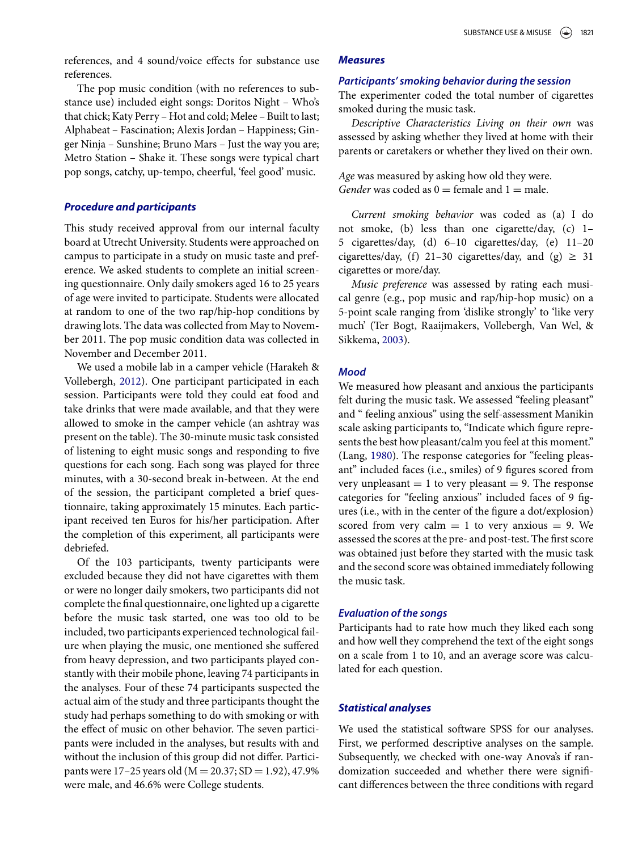references, and 4 sound/voice effects for substance use references.

The pop music condition (with no references to substance use) included eight songs: Doritos Night – Who's that chick; Katy Perry – Hot and cold; Melee – Built to last; Alphabeat – Fascination; Alexis Jordan – Happiness; Ginger Ninja – Sunshine; Bruno Mars – Just the way you are; Metro Station – Shake it. These songs were typical chart pop songs, catchy, up-tempo, cheerful, 'feel good' music.

#### *Procedure and participants*

This study received approval from our internal faculty board at Utrecht University. Students were approached on campus to participate in a study on music taste and preference. We asked students to complete an initial screening questionnaire. Only daily smokers aged 16 to 25 years of age were invited to participate. Students were allocated at random to one of the two rap/hip-hop conditions by drawing lots. The data was collected from May to November 2011. The pop music condition data was collected in November and December 2011.

We used a mobile lab in a camper vehicle (Harakeh & Vollebergh, [2012\)](#page-6-11). One participant participated in each session. Participants were told they could eat food and take drinks that were made available, and that they were allowed to smoke in the camper vehicle (an ashtray was present on the table). The 30-minute music task consisted of listening to eight music songs and responding to five questions for each song. Each song was played for three minutes, with a 30-second break in-between. At the end of the session, the participant completed a brief questionnaire, taking approximately 15 minutes. Each participant received ten Euros for his/her participation. After the completion of this experiment, all participants were debriefed.

Of the 103 participants, twenty participants were excluded because they did not have cigarettes with them or were no longer daily smokers, two participants did not complete the final questionnaire, one lighted up a cigarette before the music task started, one was too old to be included, two participants experienced technological failure when playing the music, one mentioned she suffered from heavy depression, and two participants played constantly with their mobile phone, leaving 74 participants in the analyses. Four of these 74 participants suspected the actual aim of the study and three participants thought the study had perhaps something to do with smoking or with the effect of music on other behavior. The seven participants were included in the analyses, but results with and without the inclusion of this group did not differ. Participants were 17–25 years old ( $M = 20.37$ ; SD = 1.92), 47.9% were male, and 46.6% were College students.

#### *Measures*

#### *Participants' smoking behavior during the session*

The experimenter coded the total number of cigarettes smoked during the music task.

*Descriptive Characteristics Living on their own* was assessed by asking whether they lived at home with their parents or caretakers or whether they lived on their own.

*Age* was measured by asking how old they were. *Gender* was coded as  $0 =$  female and  $1 =$  male.

*Current smoking behavior* was coded as (a) I do not smoke, (b) less than one cigarette/day, (c) 1– 5 cigarettes/day, (d) 6–10 cigarettes/day, (e) 11–20 cigarettes/day, (f) 21-30 cigarettes/day, and  $(g) \ge 31$ cigarettes or more/day.

*Music preference* was assessed by rating each musical genre (e.g., pop music and rap/hip-hop music) on a 5-point scale ranging from 'dislike strongly' to 'like very much' (Ter Bogt, Raaijmakers, Vollebergh, Van Wel, & Sikkema, [2003\)](#page-7-5).

### *Mood*

We measured how pleasant and anxious the participants felt during the music task. We assessed "feeling pleasant" and " feeling anxious" using the self-assessment Manikin scale asking participants to, "Indicate which figure represents the best how pleasant/calm you feel at this moment." (Lang, [1980\)](#page-6-12). The response categories for "feeling pleasant" included faces (i.e., smiles) of 9 figures scored from very unpleasant  $= 1$  to very pleasant  $= 9$ . The response categories for "feeling anxious" included faces of 9 figures (i.e., with in the center of the figure a dot/explosion) scored from very calm  $= 1$  to very anxious  $= 9$ . We assessed the scores at the pre- and post-test. The first score was obtained just before they started with the music task and the second score was obtained immediately following the music task.

# *Evaluation of the songs*

Participants had to rate how much they liked each song and how well they comprehend the text of the eight songs on a scale from 1 to 10, and an average score was calculated for each question.

#### *Statistical analyses*

W[e](#page-4-0) used the statistical software SPSS for our analyses. First, we performed descriptive analyses on the sample. Subsequently, we checked with one-way Anova's if randomization succeeded and whether there were significant differences between the three conditions with regard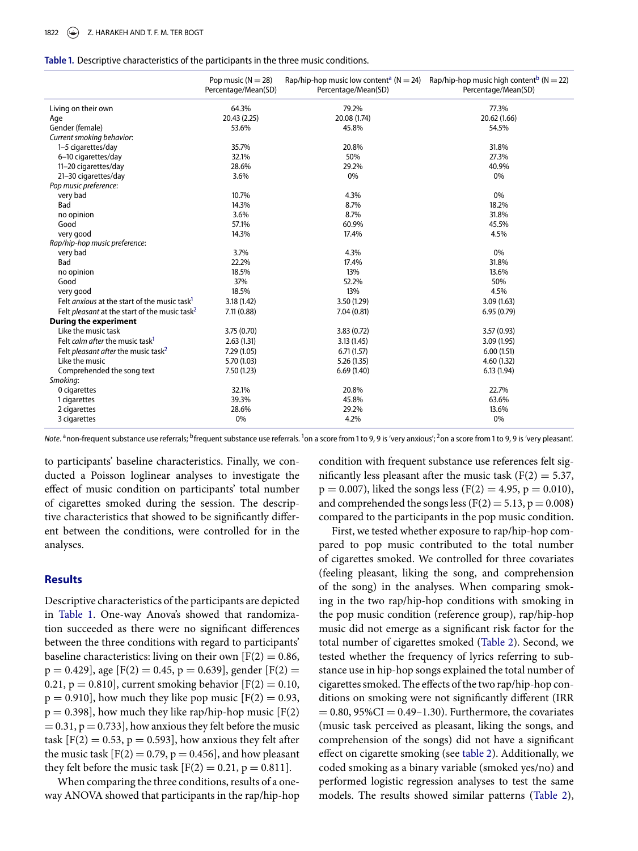#### <span id="page-4-0"></span>Table 1. Descriptive characteristics of the participants in the three music conditions.

|                                                                  | Pop music ( $N = 28$ )<br>Percentage/Mean(SD) | Percentage/Mean(SD) | Rap/hip-hop music low content <sup>a</sup> ( $N = 24$ ) Rap/hip-hop music high content <sup>b</sup> ( $N = 22$ )<br>Percentage/Mean(SD) |  |
|------------------------------------------------------------------|-----------------------------------------------|---------------------|-----------------------------------------------------------------------------------------------------------------------------------------|--|
| Living on their own                                              | 64.3%                                         | 79.2%               | 77.3%                                                                                                                                   |  |
| Age                                                              | 20.43 (2.25)                                  | 20.08 (1.74)        | 20.62 (1.66)                                                                                                                            |  |
| Gender (female)                                                  | 53.6%                                         | 45.8%               | 54.5%                                                                                                                                   |  |
| Current smoking behavior:                                        |                                               |                     |                                                                                                                                         |  |
| 1-5 cigarettes/day                                               | 35.7%                                         | 20.8%               | 31.8%                                                                                                                                   |  |
| 6-10 cigarettes/day                                              | 32.1%                                         | 50%                 | 27.3%                                                                                                                                   |  |
| 11-20 cigarettes/day                                             | 28.6%                                         | 29.2%               | 40.9%                                                                                                                                   |  |
| 21-30 cigarettes/day                                             | 3.6%                                          | 0%                  | 0%                                                                                                                                      |  |
| Pop music preference:                                            |                                               |                     |                                                                                                                                         |  |
| very bad                                                         | 10.7%                                         | 4.3%                | 0%                                                                                                                                      |  |
| Bad                                                              | 14.3%                                         | 8.7%                | 18.2%                                                                                                                                   |  |
| no opinion                                                       | 3.6%                                          | 8.7%                | 31.8%                                                                                                                                   |  |
| Good                                                             | 57.1%                                         | 60.9%               | 45.5%                                                                                                                                   |  |
| very good                                                        | 14.3%                                         | 17.4%               | 4.5%                                                                                                                                    |  |
| Rap/hip-hop music preference:                                    |                                               |                     |                                                                                                                                         |  |
| very bad                                                         | 3.7%                                          | 4.3%                | 0%                                                                                                                                      |  |
| Bad                                                              | 22.2%                                         | 17.4%               | 31.8%                                                                                                                                   |  |
| no opinion                                                       | 18.5%                                         | 13%                 | 13.6%                                                                                                                                   |  |
| Good                                                             | 37%                                           | 52.2%               | 50%                                                                                                                                     |  |
| very good                                                        | 18.5%                                         | 13%                 | 4.5%                                                                                                                                    |  |
| Felt <i>anxious</i> at the start of the music task <sup>1</sup>  | 3.18(1.42)                                    | 3.50 (1.29)         | 3.09(1.63)                                                                                                                              |  |
| Felt <i>pleasant</i> at the start of the music task <sup>2</sup> | 7.11(0.88)                                    | 7.04(0.81)          | 6.95(0.79)                                                                                                                              |  |
| <b>During the experiment</b>                                     |                                               |                     |                                                                                                                                         |  |
| Like the music task                                              | 3.75 (0.70)                                   | 3.83(0.72)          | 3.57(0.93)                                                                                                                              |  |
| Felt calm after the music task <sup>1</sup>                      | 2.63(1.31)                                    | 3.13(1.45)          | 3.09(1.95)                                                                                                                              |  |
| Felt <i>pleasant after</i> the music task <sup>2</sup>           | 7.29 (1.05)                                   | 6.71(1.57)          | 6.00(1.51)                                                                                                                              |  |
| Like the music                                                   | 5.70 (1.03)                                   | 5.26(1.35)          | 4.60(1.32)                                                                                                                              |  |
| Comprehended the song text                                       | 7.50 (1.23)                                   | 6.69(1.40)          | 6.13(1.94)                                                                                                                              |  |
| Smoking:                                                         |                                               |                     |                                                                                                                                         |  |
| 0 cigarettes                                                     | 32.1%                                         | 20.8%               | 22.7%                                                                                                                                   |  |
| 1 cigarettes                                                     | 39.3%                                         | 45.8%               | 63.6%                                                                                                                                   |  |
| 2 cigarettes                                                     | 28.6%                                         | 29.2%               | 13.6%                                                                                                                                   |  |
| 3 cigarettes                                                     | 0%                                            | 4.2%                | 0%                                                                                                                                      |  |

<span id="page-4-1"></span>Note. <sup>a</sup>non-frequent substance use referrals; <sup>b</sup>frequent substance use referrals. <sup>1</sup>on a score from 1 to 9, 9 is 'very anxious'; <sup>2</sup>on a score from 1 to 9, 9 is 'very pleasant'.

to participants' baseline characteristics. Finally, we conducted a Poisson loglinear analyses to investigate the effect of music condition on participants' total number of cigarettes smoked during the session. The descriptive characteristics that showed to be significantly different between the conditions, were controlled for in the analyses.

### **Results**

Descriptive characteristics of the participants are depicted in [Table 1.](#page-4-0) One-way Anova's showed that randomization succeeded as there were no significant differences between the three conditions with regard to participants' baseline characteristics: living on their own  $[F(2) = 0.86,$  $p = 0.429$ ], age [F(2) = 0.45,  $p = 0.639$ ], gender [F(2) = 0.21,  $p = 0.810$ , current smoking behavior  $[F(2) = 0.10,$  $p = 0.910$ , how much they like pop music  $[F(2) = 0.93,$  $p = 0.398$ ], how much they like rap/hip-hop music [F(2)  $= 0.31$ ,  $p = 0.733$ , how anxious they felt before the music task  $[F(2) = 0.53, p = 0.593]$ , how anxious they felt after the music task  $[F(2) = 0.79, p = 0.456]$ , and how pleasant they felt before the music task  $[F(2) = 0.21, p = 0.811]$ .

When comparing the three conditions, results of a oneway ANOVA showed that participants in the rap/hip-hop <span id="page-4-4"></span><span id="page-4-3"></span><span id="page-4-2"></span>condition with frequent substance use references felt significantly less pleasant after the music task  $(F(2) = 5.37,$  $p = 0.007$ , liked the songs less (F(2) = 4.95, p = 0.010), and comprehended the songs less ( $F(2) = 5.13$ ,  $p = 0.008$ ) compared to the participants in the pop music condition.

First, we tested whether exposure to rap/hip-hop compared to pop music contributed to the total number of cigarettes smoked. We controlled for three covariates (feeling pleasant, liking the song, and comprehension of the song) in the analyses. When comparing smoking in the two rap/hip-hop conditions with smoking in the pop music condition (reference group), rap/hip-hop music did not emerge as a significant risk factor for the total number of cigarettes smoked [\(Table 2\)](#page-5-0). Second, we tested whether the frequency of lyrics referring to substance use in hip-hop songs explained the total number of cigarettes smoked. The effects of the two rap/hip-hop conditions on smoking were not significantly different (IRR  $= 0.80, 95\% \text{CI} = 0.49 - 1.30$ . Furthermore, the covariates (music task perceived as pleasant, liking the songs, and comprehension of the songs) did not have a significant effect on cigarette smoking (see [table 2\)](#page-5-0). Additionally, we coded smoking as a binary variable (smoked yes/no) and performed logistic regression analyses to test the same models. The results showed similar patterns [\(Table 2\)](#page-5-0),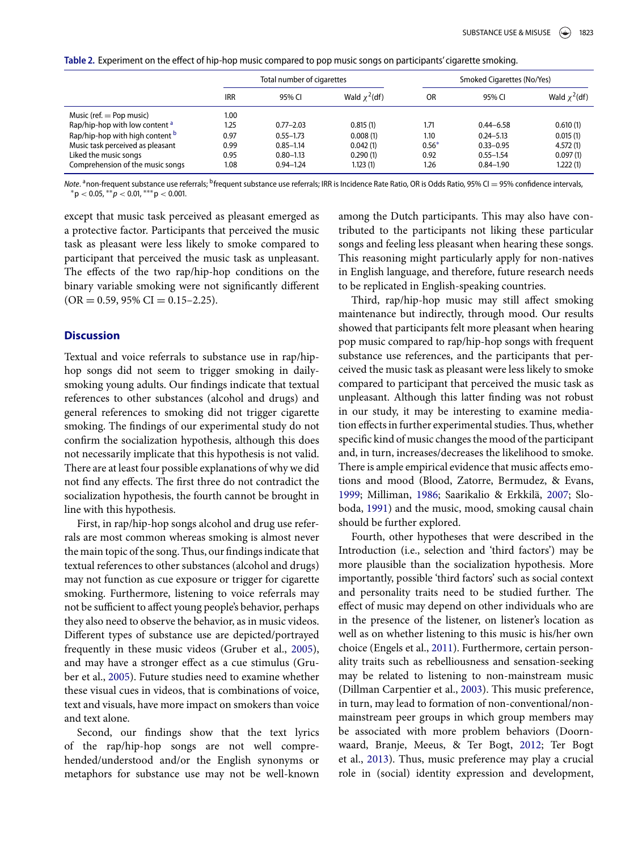<span id="page-5-0"></span>Table 2. Experiment on the effect of hip-hop music compared to pop music songs on participants' cigarette smoking.

|                                           | Total number of cigarettes |               |                    | Smoked Cigarettes (No/Yes) |               |                    |
|-------------------------------------------|----------------------------|---------------|--------------------|----------------------------|---------------|--------------------|
|                                           | <b>IRR</b>                 | 95% CI        | Wald $\chi^2$ (df) | OR                         | 95% CI        | Wald $\chi^2$ (df) |
| Music (ref. $=$ Pop music)                | 1.00                       |               |                    |                            |               |                    |
| Rap/hip-hop with low content <sup>a</sup> | 1.25                       | $0.77 - 2.03$ | 0.815(1)           | 1.71                       | $0.44 - 6.58$ | 0.610(1)           |
| Rap/hip-hop with high content b           | 0.97                       | $0.55 - 1.73$ | 0.008(1)           | 1.10                       | $0.24 - 5.13$ | 0.015(1)           |
| Music task perceived as pleasant          | 0.99                       | $0.85 - 1.14$ | 0.042(1)           | $0.56*$                    | $0.33 - 0.95$ | 4.572(1)           |
| Liked the music songs                     | 0.95                       | $0.80 - 1.13$ | 0.290(1)           | 0.92                       | $0.55 - 1.54$ | 0.097(1)           |
| Comprehension of the music songs          | 1.08                       | $0.94 - 1.24$ | 1.123(1)           | 1.26                       | $0.84 - 1.90$ | 1.222(1)           |

<span id="page-5-1"></span>*Note.* ªnon-frequent substance use referrals; <sup>b</sup>frequent substance use referrals; IRR is Incidence Rate Ratio, OR is Odds Ratio, 95% CI = 95% confidence intervals,<br>\*p < 0.05, \*\**p <* 0.01, \*\*\*p < 0.001.

<span id="page-5-3"></span>except that music task perceived as pleasant emerged as a protective factor. Participants that perceived the music task as pleasant were less likely to smoke compared to participant that perceived the music task as unpleasant. The effects of the two rap/hip-hop conditions on the binary variable smoking were not significantly different  $(OR = 0.59, 95\% \text{ CI} = 0.15 - 2.25).$ 

# **Discussion**

Textual and voice referrals to substance use in rap/hiphop songs did not seem to trigger smoking in dailysmoking young adults. Our findings indicate that textual references to other substances (alcohol and drugs) and general references to smoking did not trigger cigarette smoking. The findings of our experimental study do not confirm the socialization hypothesis, although this does not necessarily implicate that this hypothesis is not valid. There are at least four possible explanations of why we did not find any effects. The first three do not contradict the socialization hypothesis, the fourth cannot be brought in line with this hypothesis.

First, in rap/hip-hop songs alcohol and drug use referrals are most common whereas smoking is almost never the main topic of the song. Thus, our findings indicate that textual references to other substances (alcohol and drugs) may not function as cue exposure or trigger for cigarette smoking. Furthermore, listening to voice referrals may not be sufficient to affect young people's behavior, perhaps they also need to observe the behavior, as in music videos. Different types of substance use are depicted/portrayed frequently in these music videos (Gruber et al., [2005\)](#page-6-1), and may have a stronger effect as a cue stimulus (Gruber et al., [2005\)](#page-6-1). Future studies need to examine whether these visual cues in videos, that is combinations of voice, text and visuals, have more impact on smokers than voice and text alone.

Second, our findings show that the text lyrics of the rap/hip-hop songs are not well comprehended/understood and/or the English synonyms or metaphors for substance use may not be well-known

<span id="page-5-2"></span>among the Dutch participants. This may also have contributed to the participants not liking these particular songs and feeling less pleasant when hearing these songs. This reasoning might particularly apply for non-natives in English language, and therefore, future research needs to be replicated in English-speaking countries.

Third, rap/hip-hop music may still affect smoking maintenance but indirectly, through mood. Our results showed that participants felt more pleasant when hearing pop music compared to rap/hip-hop songs with frequent substance use references, and the participants that perceived the music task as pleasant were less likely to smoke compared to participant that perceived the music task as unpleasant. Although this latter finding was not robust in our study, it may be interesting to examine mediation effects in further experimental studies. Thus, whether specific kind of music changes the mood of the participant and, in turn, increases/decreases the likelihood to smoke. There is ample empirical evidence that music affects emotions and mood (Blood, Zatorre, Bermudez, & Evans, [1999;](#page-6-13) Milliman, [1986;](#page-6-14) Saarikalio & Erkkilä, [2007;](#page-7-6) Sloboda, [1991\)](#page-7-7) and the music, mood, smoking causal chain should be further explored.

Fourth, other hypotheses that were described in the Introduction (i.e., selection and 'third factors') may be more plausible than the socialization hypothesis. More importantly, possible 'third factors' such as social context and personality traits need to be studied further. The effect of music may depend on other individuals who are in the presence of the listener, on listener's location as well as on whether listening to this music is his/her own choice (Engels et al., [2011\)](#page-6-6). Furthermore, certain personality traits such as rebelliousness and sensation-seeking may be related to listening to non-mainstream music (Dillman Carpentier et al., [2003\)](#page-6-9). This music preference, in turn, may lead to formation of non-conventional/nonmainstream peer groups in which group members may be associated with more problem behaviors (Doornwaard, Branje, Meeus, & Ter Bogt, [2012;](#page-6-15) Ter Bogt et al., [2013\)](#page-7-8). Thus, music preference may play a crucial role in (social) identity expression and development,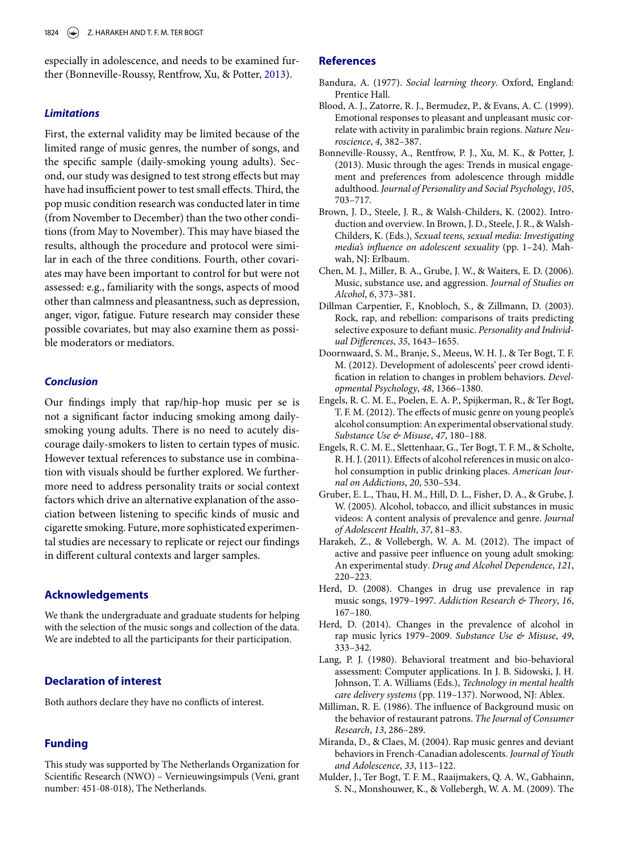especially in adolescence, and needs to be examined further (Bonneville-Roussy, Rentfrow, Xu, & Potter, [2013\)](#page-6-16).

#### *Limitations*

First, the external validity may be limited because of the limited range of music genres, the number of songs, and the specific sample (daily-smoking young adults). Second, our study was designed to test strong effects but may have had insufficient power to test small effects. Third, the pop music condition research was conducted later in time (from November to December) than the two other conditions (from May to November). This may have biased the results, although the procedure and protocol were similar in each of the three conditions. Fourth, other covariates may have been important to control for but were not assessed: e.g., familiarity with the songs, aspects of mood other than calmness and pleasantness, such as depression, anger, vigor, fatigue. Future research may consider these possible covariates, but may also examine them as possible moderators or mediators.

#### *Conclusion*

Our findings imply that rap/hip-hop music per se is not a significant factor inducing smoking among dailysmoking young adults. There is no need to acutely discourage daily-smokers to listen to certain types of music. However textual references to substance use in combination with visuals should be further explored. We furthermore need to address personality traits or social context factors which drive an alternative explanation of the association between listening to specific kinds of music and cigarette smoking. Future, more sophisticated experimental studies are necessary to replicate or reject our findings in different cultural contexts and larger samples.

#### **Acknowledgements**

We thank the undergraduate and graduate students for helping with the selection of the music songs and collection of the data. We are indebted to all the participants for their participation.

# **Declaration of interest**

Both authors declare they have no conflicts of interest.

# **Funding**

This study was supported by The Netherlands Organization for Scientific Research (NWO) – Vernieuwingsimpuls (Veni, grant number: 451-08-018), The Netherlands.

## **References**

- <span id="page-6-8"></span>Bandura, A. (1977). *Social learning theory*. Oxford, England: Prentice Hall.
- <span id="page-6-13"></span>Blood, A. J., Zatorre, R. J., Bermudez, P., & Evans, A. C. (1999). Emotional responses to pleasant and unpleasant music correlate with activity in paralimbic brain regions. *Nature Neuroscience*, *4*, 382–387.
- <span id="page-6-16"></span>Bonneville-Roussy, A., Rentfrow, P. J., Xu, M. K., & Potter, J. (2013). Music through the ages: Trends in musical engagement and preferences from adolescence through middle adulthood. *Journal of Personality and Social Psychology*, *105*, 703–717.
- <span id="page-6-10"></span>Brown, J. D., Steele, J. R., & Walsh-Childers, K. (2002). Introduction and overview. In Brown, J. D., Steele, J. R., & Walsh-Childers, K. (Eds.), *Sexual teens, sexual media: Investigating media's influence on adolescent sexuality* (pp. 1–24). Mahwah, NJ: Erlbaum.
- <span id="page-6-0"></span>Chen, M. J., Miller, B. A., Grube, J. W., & Waiters, E. D. (2006). Music, substance use, and aggression. *Journal of Studies on Alcohol*, *6*, 373–381.
- <span id="page-6-9"></span>Dillman Carpentier, F., Knobloch, S., & Zillmann, D. (2003). Rock, rap, and rebellion: comparisons of traits predicting selective exposure to defiant music. *Personality and Individual Differences*, *35*, 1643–1655.
- <span id="page-6-15"></span>Doornwaard, S. M., Branje, S., Meeus, W. H. J., & Ter Bogt, T. F. M. (2012). Development of adolescents' peer crowd identification in relation to changes in problem behaviors. *Developmental Psychology*, *48*, 1366–1380.
- <span id="page-6-7"></span>Engels, R. C. M. E., Poelen, E. A. P., Spijkerman, R., & Ter Bogt, T. F. M. (2012). The effects of music genre on young people's alcohol consumption: An experimental observational study. *Substance Use & Misuse*, *47*, 180–188.
- <span id="page-6-6"></span>Engels, R. C. M. E., Slettenhaar, G., Ter Bogt, T. F. M., & Scholte, R. H. J. (2011). Effects of alcohol references in music on alcohol consumption in public drinking places. *American Journal on Addictions*, *20*, 530–534.
- <span id="page-6-1"></span>Gruber, E. L., Thau, H. M., Hill, D. L., Fisher, D. A., & Grube, J. W. (2005). Alcohol, tobacco, and illicit substances in music videos: A content analysis of prevalence and genre. *Journal of Adolescent Health*, *37*, 81–83.
- <span id="page-6-11"></span>Harakeh, Z., & Vollebergh, W. A. M. (2012). The impact of active and passive peer influence on young adult smoking: An experimental study. *Drug and Alcohol Dependence*, *121*, 220–223.
- <span id="page-6-2"></span>Herd, D. (2008). Changes in drug use prevalence in rap music songs, 1979–1997. *Addiction Research & Theory*, *16*, 167–180.
- <span id="page-6-3"></span>Herd, D. (2014). Changes in the prevalence of alcohol in rap music lyrics 1979–2009. *Substance Use & Misuse*, *49*, 333–342.
- <span id="page-6-12"></span>Lang, P. J. (1980). Behavioral treatment and bio-behavioral assessment: Computer applications. In J. B. Sidowski, J. H. Johnson, T. A. Williams (Eds.), *Technology in mental health care delivery systems* (pp. 119–137). Norwood, NJ: Ablex.
- <span id="page-6-14"></span>Milliman, R. E. (1986). The influence of Background music on the behavior of restaurant patrons. *The Journal of Consumer Research*, *13*, 286–289.
- <span id="page-6-5"></span>Miranda, D., & Claes, M. (2004). Rap music genres and deviant behaviors in French-Canadian adolescents. *Journal of Youth and Adolescence*, *33*, 113–122.
- <span id="page-6-4"></span>Mulder, J., Ter Bogt, T. F. M., Raaijmakers, Q. A. W., Gabhainn, S. N., Monshouwer, K., & Vollebergh, W. A. M. (2009). The